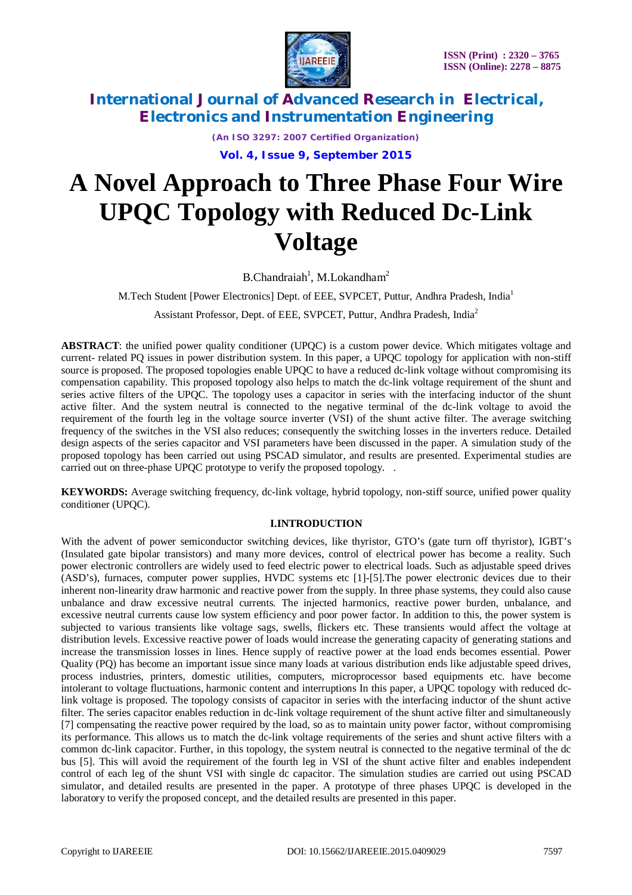

*(An ISO 3297: 2007 Certified Organization)*

**Vol. 4, Issue 9, September 2015**

# **A Novel Approach to Three Phase Four Wire UPQC Topology with Reduced Dc-Link Voltage**

B.Chandraiah<sup>1</sup>, M.Lokandham<sup>2</sup>

M.Tech Student [Power Electronics] Dept. of EEE, SVPCET, Puttur, Andhra Pradesh, India<sup>1</sup>

Assistant Professor, Dept. of EEE, SVPCET, Puttur, Andhra Pradesh, India<sup>2</sup>

**ABSTRACT**: the unified power quality conditioner (UPQC) is a custom power device. Which mitigates voltage and current- related PQ issues in power distribution system. In this paper, a UPQC topology for application with non-stiff source is proposed. The proposed topologies enable UPQC to have a reduced dc-link voltage without compromising its compensation capability. This proposed topology also helps to match the dc-link voltage requirement of the shunt and series active filters of the UPQC. The topology uses a capacitor in series with the interfacing inductor of the shunt active filter. And the system neutral is connected to the negative terminal of the dc-link voltage to avoid the requirement of the fourth leg in the voltage source inverter (VSI) of the shunt active filter. The average switching frequency of the switches in the VSI also reduces; consequently the switching losses in the inverters reduce. Detailed design aspects of the series capacitor and VSI parameters have been discussed in the paper. A simulation study of the proposed topology has been carried out using PSCAD simulator, and results are presented. Experimental studies are carried out on three-phase UPQC prototype to verify the proposed topology..

**KEYWORDS:** Average switching frequency, dc-link voltage, hybrid topology, non-stiff source, unified power quality conditioner (UPQC).

### **I.INTRODUCTION**

With the advent of power semiconductor switching devices, like thyristor, GTO's (gate turn off thyristor), IGBT's (Insulated gate bipolar transistors) and many more devices, control of electrical power has become a reality. Such power electronic controllers are widely used to feed electric power to electrical loads. Such as adjustable speed drives (ASD's), furnaces, computer power supplies, HVDC systems etc [1]-[5].The power electronic devices due to their inherent non-linearity draw harmonic and reactive power from the supply. In three phase systems, they could also cause unbalance and draw excessive neutral currents. The injected harmonics, reactive power burden, unbalance, and excessive neutral currents cause low system efficiency and poor power factor. In addition to this, the power system is subjected to various transients like voltage sags, swells, flickers etc. These transients would affect the voltage at distribution levels. Excessive reactive power of loads would increase the generating capacity of generating stations and increase the transmission losses in lines. Hence supply of reactive power at the load ends becomes essential. Power Quality (PQ) has become an important issue since many loads at various distribution ends like adjustable speed drives, process industries, printers, domestic utilities, computers, microprocessor based equipments etc. have become intolerant to voltage fluctuations, harmonic content and interruptions In this paper, a UPQC topology with reduced dclink voltage is proposed. The topology consists of capacitor in series with the interfacing inductor of the shunt active filter. The series capacitor enables reduction in dc-link voltage requirement of the shunt active filter and simultaneously [7] compensating the reactive power required by the load, so as to maintain unity power factor, without compromising its performance. This allows us to match the dc-link voltage requirements of the series and shunt active filters with a common dc-link capacitor. Further, in this topology, the system neutral is connected to the negative terminal of the dc bus [5]. This will avoid the requirement of the fourth leg in VSI of the shunt active filter and enables independent control of each leg of the shunt VSI with single dc capacitor. The simulation studies are carried out using PSCAD simulator, and detailed results are presented in the paper. A prototype of three phases UPQC is developed in the laboratory to verify the proposed concept, and the detailed results are presented in this paper.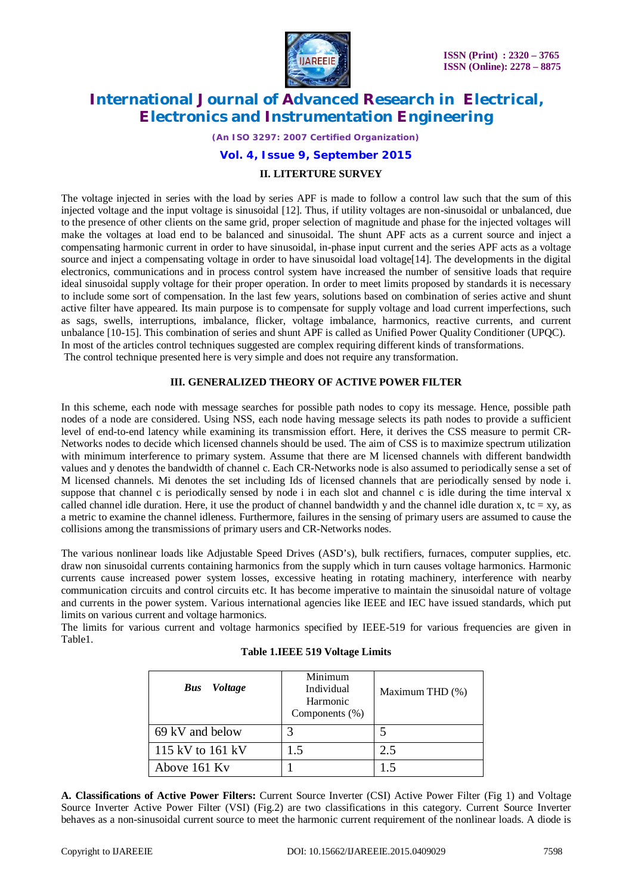

*(An ISO 3297: 2007 Certified Organization)*

### **Vol. 4, Issue 9, September 2015**

#### **II. LITERTURE SURVEY**

The voltage injected in series with the load by series APF is made to follow a control law such that the sum of this injected voltage and the input voltage is sinusoidal [12]. Thus, if utility voltages are non-sinusoidal or unbalanced, due to the presence of other clients on the same grid, proper selection of magnitude and phase for the injected voltages will make the voltages at load end to be balanced and sinusoidal. The shunt APF acts as a current source and inject a compensating harmonic current in order to have sinusoidal, in-phase input current and the series APF acts as a voltage source and inject a compensating voltage in order to have sinusoidal load voltage[14]. The developments in the digital electronics, communications and in process control system have increased the number of sensitive loads that require ideal sinusoidal supply voltage for their proper operation. In order to meet limits proposed by standards it is necessary to include some sort of compensation. In the last few years, solutions based on combination of series active and shunt active filter have appeared. Its main purpose is to compensate for supply voltage and load current imperfections, such as sags, swells, interruptions, imbalance, flicker, voltage imbalance, harmonics, reactive currents, and current unbalance [10-15]. This combination of series and shunt APF is called as Unified Power Quality Conditioner (UPQC). In most of the articles control techniques suggested are complex requiring different kinds of transformations. The control technique presented here is very simple and does not require any transformation.

#### **III. GENERALIZED THEORY OF ACTIVE POWER FILTER**

In this scheme, each node with message searches for possible path nodes to copy its message. Hence, possible path nodes of a node are considered. Using NSS, each node having message selects its path nodes to provide a sufficient level of end-to-end latency while examining its transmission effort. Here, it derives the CSS measure to permit CR-Networks nodes to decide which licensed channels should be used. The aim of CSS is to maximize spectrum utilization with minimum interference to primary system. Assume that there are M licensed channels with different bandwidth values and y denotes the bandwidth of channel c. Each CR-Networks node is also assumed to periodically sense a set of M licensed channels. Mi denotes the set including Ids of licensed channels that are periodically sensed by node i. suppose that channel c is periodically sensed by node i in each slot and channel c is idle during the time interval x called channel idle duration. Here, it use the product of channel bandwidth y and the channel idle duration x, tc = xy, as a metric to examine the channel idleness. Furthermore, failures in the sensing of primary users are assumed to cause the collisions among the transmissions of primary users and CR-Networks nodes.

The various nonlinear loads like Adjustable Speed Drives (ASD's), bulk rectifiers, furnaces, computer supplies, etc. draw non sinusoidal currents containing harmonics from the supply which in turn causes voltage harmonics. Harmonic currents cause increased power system losses, excessive heating in rotating machinery, interference with nearby communication circuits and control circuits etc. It has become imperative to maintain the sinusoidal nature of voltage and currents in the power system. Various international agencies like IEEE and IEC have issued standards, which put limits on various current and voltage harmonics.

The limits for various current and voltage harmonics specified by IEEE-519 for various frequencies are given in Table1.

|  |  |  | <b>Table 1.IEEE 519 Voltage Limits</b> |  |
|--|--|--|----------------------------------------|--|
|--|--|--|----------------------------------------|--|

| <i>Voltage</i><br><b>Bus</b> | Minimum<br>Individual<br>Harmonic<br>Components (%) | Maximum THD (%) |
|------------------------------|-----------------------------------------------------|-----------------|
| 69 kV and below              | 3                                                   |                 |
| 115 kV to 161 kV             | 1.5                                                 | 2.5             |
| Above 161 Kv                 |                                                     | 1.5             |

**A. Classifications of Active Power Filters:** Current Source Inverter (CSI) Active Power Filter (Fig 1) and Voltage Source Inverter Active Power Filter (VSI) (Fig.2) are two classifications in this category. Current Source Inverter behaves as a non-sinusoidal current source to meet the harmonic current requirement of the nonlinear loads. A diode is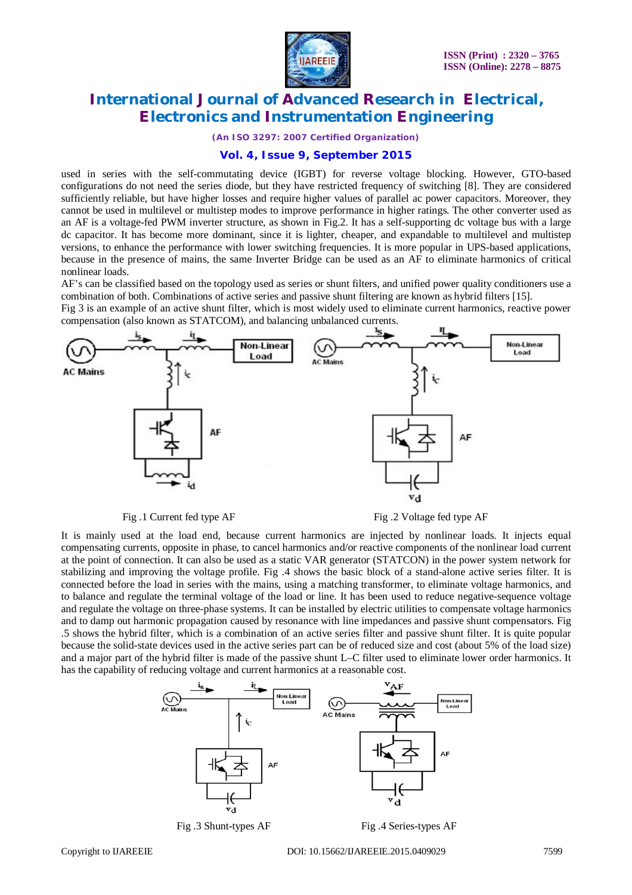

*(An ISO 3297: 2007 Certified Organization)*

### **Vol. 4, Issue 9, September 2015**

used in series with the self-commutating device (IGBT) for reverse voltage blocking. However, GTO-based configurations do not need the series diode, but they have restricted frequency of switching [8]. They are considered sufficiently reliable, but have higher losses and require higher values of parallel ac power capacitors. Moreover, they cannot be used in multilevel or multistep modes to improve performance in higher ratings. The other converter used as an AF is a voltage-fed PWM inverter structure, as shown in Fig.2. It has a self-supporting dc voltage bus with a large dc capacitor. It has become more dominant, since it is lighter, cheaper, and expandable to multilevel and multistep versions, to enhance the performance with lower switching frequencies. It is more popular in UPS-based applications, because in the presence of mains, the same Inverter Bridge can be used as an AF to eliminate harmonics of critical nonlinear loads.

AF's can be classified based on the topology used as series or shunt filters, and unified power quality conditioners use a combination of both. Combinations of active series and passive shunt filtering are known as hybrid filters [15]. Fig 3 is an example of an active shunt filter, which is most widely used to eliminate current harmonics, reactive power compensation (also known as STATCOM), and balancing unbalanced currents.



Fig. 1 Current fed type AF Fig. 2 Voltage fed type AF

It is mainly used at the load end, because current harmonics are injected by nonlinear loads. It injects equal compensating currents, opposite in phase, to cancel harmonics and/or reactive components of the nonlinear load current at the point of connection. It can also be used as a static VAR generator (STATCON) in the power system network for stabilizing and improving the voltage profile. Fig .4 shows the basic block of a stand-alone active series filter. It is connected before the load in series with the mains, using a matching transformer, to eliminate voltage harmonics, and to balance and regulate the terminal voltage of the load or line. It has been used to reduce negative-sequence voltage and regulate the voltage on three-phase systems. It can be installed by electric utilities to compensate voltage harmonics and to damp out harmonic propagation caused by resonance with line impedances and passive shunt compensators. Fig .5 shows the hybrid filter, which is a combination of an active series filter and passive shunt filter. It is quite popular because the solid-state devices used in the active series part can be of reduced size and cost (about 5% of the load size) and a major part of the hybrid filter is made of the passive shunt L–C filter used to eliminate lower order harmonics. It has the capability of reducing voltage and current harmonics at a reasonable cost.



Fig .3 Shunt-types AF Fig .4 Series-types AF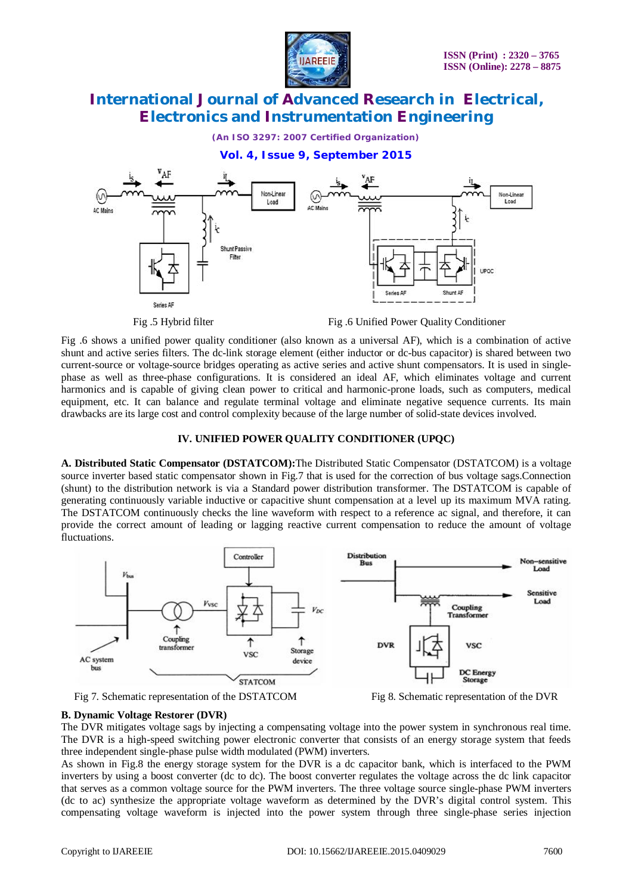

*(An ISO 3297: 2007 Certified Organization)*

# **Vol. 4, Issue 9, September 2015**



Fig .5 Hybrid filter Fig .6 Unified Power Quality Conditioner

Fig .6 shows a unified power quality conditioner (also known as a universal AF), which is a combination of active shunt and active series filters. The dc-link storage element (either inductor or dc-bus capacitor) is shared between two current-source or voltage-source bridges operating as active series and active shunt compensators. It is used in singlephase as well as three-phase configurations. It is considered an ideal AF, which eliminates voltage and current harmonics and is capable of giving clean power to critical and harmonic-prone loads, such as computers, medical equipment, etc. It can balance and regulate terminal voltage and eliminate negative sequence currents. Its main drawbacks are its large cost and control complexity because of the large number of solid-state devices involved.

### **IV. UNIFIED POWER QUALITY CONDITIONER (UPQC)**

**A. Distributed Static Compensator (DSTATCOM):**The Distributed Static Compensator (DSTATCOM) is a voltage source inverter based static compensator shown in Fig.7 that is used for the correction of bus voltage sags.Connection (shunt) to the distribution network is via a Standard power distribution transformer. The DSTATCOM is capable of generating continuously variable inductive or capacitive shunt compensation at a level up its maximum MVA rating. The DSTATCOM continuously checks the line waveform with respect to a reference ac signal, and therefore, it can provide the correct amount of leading or lagging reactive current compensation to reduce the amount of voltage fluctuations.







#### **B. Dynamic Voltage Restorer (DVR)**

The DVR mitigates voltage sags by injecting a compensating voltage into the power system in synchronous real time. The DVR is a high-speed switching power electronic converter that consists of an energy storage system that feeds three independent single-phase pulse width modulated (PWM) inverters.

As shown in Fig.8 the energy storage system for the DVR is a dc capacitor bank, which is interfaced to the PWM inverters by using a boost converter (dc to dc). The boost converter regulates the voltage across the dc link capacitor that serves as a common voltage source for the PWM inverters. The three voltage source single-phase PWM inverters (dc to ac) synthesize the appropriate voltage waveform as determined by the DVR's digital control system. This compensating voltage waveform is injected into the power system through three single-phase series injection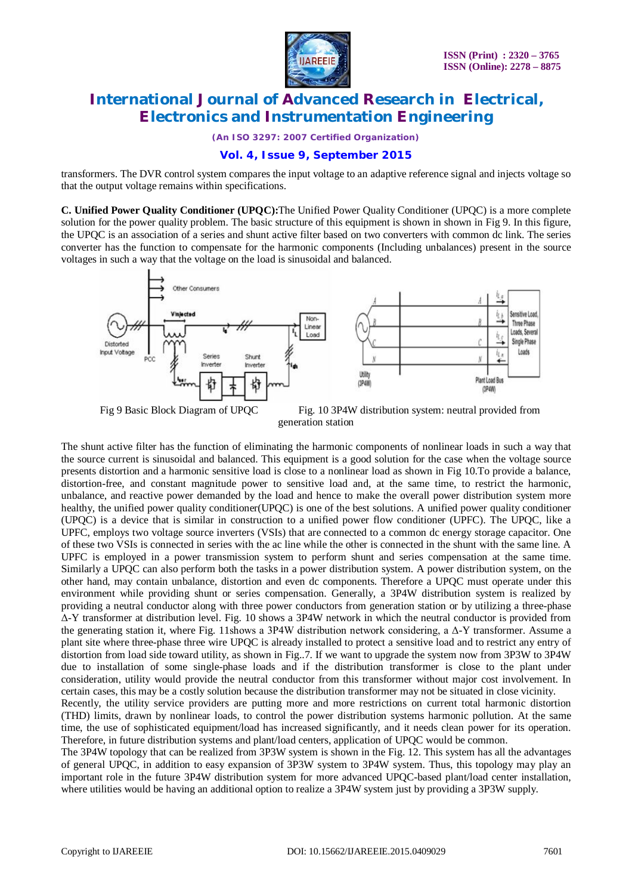

*(An ISO 3297: 2007 Certified Organization)*

# **Vol. 4, Issue 9, September 2015**

transformers. The DVR control system compares the input voltage to an adaptive reference signal and injects voltage so that the output voltage remains within specifications.

**C. Unified Power Quality Conditioner (UPQC):**The Unified Power Quality Conditioner (UPQC) is a more complete solution for the power quality problem. The basic structure of this equipment is shown in shown in Fig 9. In this figure, the UPQC is an association of a series and shunt active filter based on two converters with common dc link. The series converter has the function to compensate for the harmonic components (Including unbalances) present in the source voltages in such a way that the voltage on the load is sinusoidal and balanced.



Fig 9 Basic Block Diagram of UPQC Fig. 10 3P4W distribution system: neutral provided from generation station

The shunt active filter has the function of eliminating the harmonic components of nonlinear loads in such a way that the source current is sinusoidal and balanced. This equipment is a good solution for the case when the voltage source presents distortion and a harmonic sensitive load is close to a nonlinear load as shown in Fig 10.To provide a balance, distortion-free, and constant magnitude power to sensitive load and, at the same time, to restrict the harmonic, unbalance, and reactive power demanded by the load and hence to make the overall power distribution system more healthy, the unified power quality conditioner(UPQC) is one of the best solutions. A unified power quality conditioner (UPQC) is a device that is similar in construction to a unified power flow conditioner (UPFC). The UPQC, like a UPFC, employs two voltage source inverters (VSIs) that are connected to a common dc energy storage capacitor. One of these two VSIs is connected in series with the ac line while the other is connected in the shunt with the same line. A UPFC is employed in a power transmission system to perform shunt and series compensation at the same time. Similarly a UPQC can also perform both the tasks in a power distribution system. A power distribution system, on the other hand, may contain unbalance, distortion and even dc components. Therefore a UPQC must operate under this environment while providing shunt or series compensation. Generally, a 3P4W distribution system is realized by providing a neutral conductor along with three power conductors from generation station or by utilizing a three-phase Δ-Y transformer at distribution level. Fig. 10 shows a 3P4W network in which the neutral conductor is provided from the generating station it, where Fig. 11shows a 3P4W distribution network considering, a Δ-Y transformer. Assume a plant site where three-phase three wire UPQC is already installed to protect a sensitive load and to restrict any entry of distortion from load side toward utility, as shown in Fig..7. If we want to upgrade the system now from 3P3W to 3P4W due to installation of some single-phase loads and if the distribution transformer is close to the plant under consideration, utility would provide the neutral conductor from this transformer without major cost involvement. In certain cases, this may be a costly solution because the distribution transformer may not be situated in close vicinity. Recently, the utility service providers are putting more and more restrictions on current total harmonic distortion

(THD) limits, drawn by nonlinear loads, to control the power distribution systems harmonic pollution. At the same time, the use of sophisticated equipment/load has increased significantly, and it needs clean power for its operation. Therefore, in future distribution systems and plant/load centers, application of UPQC would be common.

The 3P4W topology that can be realized from 3P3W system is shown in the Fig. 12. This system has all the advantages of general UPQC, in addition to easy expansion of 3P3W system to 3P4W system. Thus, this topology may play an important role in the future 3P4W distribution system for more advanced UPQC-based plant/load center installation, where utilities would be having an additional option to realize a 3P4W system just by providing a 3P3W supply.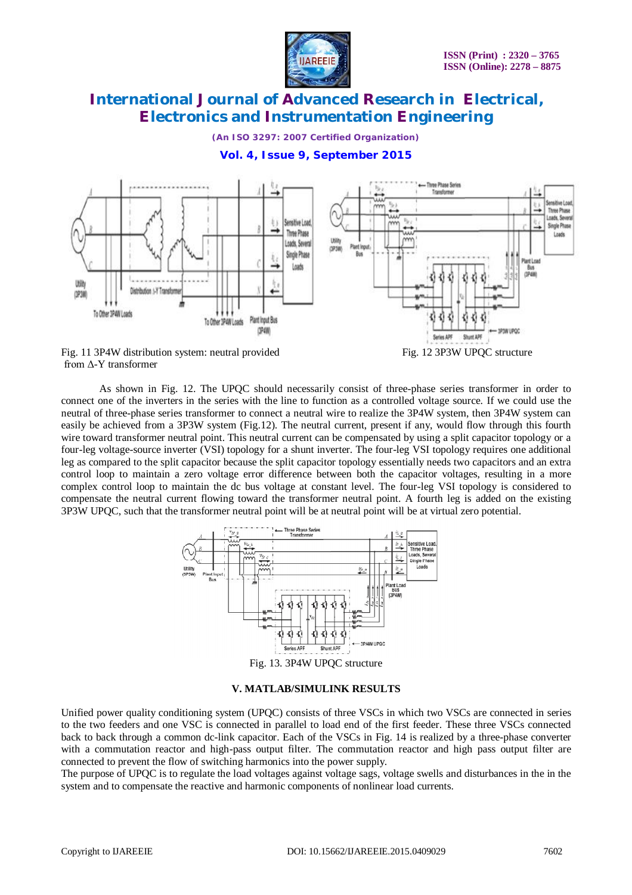

*(An ISO 3297: 2007 Certified Organization)*

# **Vol. 4, Issue 9, September 2015**



from Δ-Y transformer

As shown in Fig. 12. The UPQC should necessarily consist of three-phase series transformer in order to connect one of the inverters in the series with the line to function as a controlled voltage source. If we could use the neutral of three-phase series transformer to connect a neutral wire to realize the 3P4W system, then 3P4W system can easily be achieved from a 3P3W system (Fig.12). The neutral current, present if any, would flow through this fourth wire toward transformer neutral point. This neutral current can be compensated by using a split capacitor topology or a four-leg voltage-source inverter (VSI) topology for a shunt inverter. The four-leg VSI topology requires one additional leg as compared to the split capacitor because the split capacitor topology essentially needs two capacitors and an extra control loop to maintain a zero voltage error difference between both the capacitor voltages, resulting in a more complex control loop to maintain the dc bus voltage at constant level. The four-leg VSI topology is considered to compensate the neutral current flowing toward the transformer neutral point. A fourth leg is added on the existing 3P3W UPQC, such that the transformer neutral point will be at neutral point will be at virtual zero potential.



Fig. 13. 3P4W UPQC structure

#### **V. MATLAB/SIMULINK RESULTS**

Unified power quality conditioning system (UPQC) consists of three VSCs in which two VSCs are connected in series to the two feeders and one VSC is connected in parallel to load end of the first feeder. These three VSCs connected back to back through a common dc-link capacitor. Each of the VSCs in Fig. 14 is realized by a three-phase converter with a commutation reactor and high-pass output filter. The commutation reactor and high pass output filter are connected to prevent the flow of switching harmonics into the power supply.

The purpose of UPQC is to regulate the load voltages against voltage sags, voltage swells and disturbances in the in the system and to compensate the reactive and harmonic components of nonlinear load currents.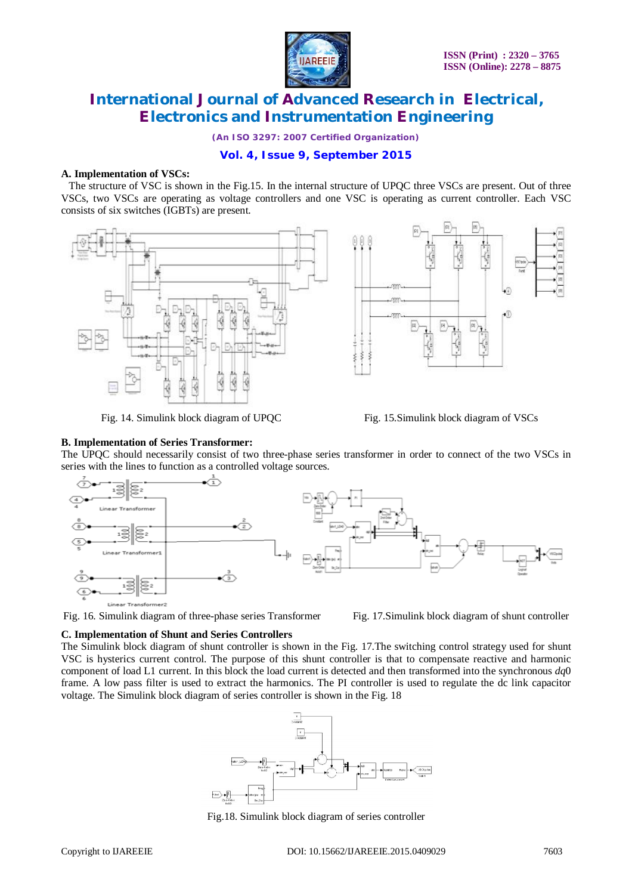

*(An ISO 3297: 2007 Certified Organization)*

# **Vol. 4, Issue 9, September 2015**

#### **A. Implementation of VSCs:**

 The structure of VSC is shown in the Fig.15. In the internal structure of UPQC three VSCs are present. Out of three VSCs, two VSCs are operating as voltage controllers and one VSC is operating as current controller. Each VSC consists of six switches (IGBTs) are present.





Fig. 14. Simulink block diagram of UPQC Fig. 15.Simulink block diagram of VSCs

#### **B. Implementation of Series Transformer:**

The UPQC should necessarily consist of two three-phase series transformer in order to connect of the two VSCs in series with the lines to function as a controlled voltage sources.



Fig. 16. Simulink diagram of three-phase series Transformer Fig. 17. Simulink block diagram of shunt controller

#### **C. Implementation of Shunt and Series Controllers**

The Simulink block diagram of shunt controller is shown in the Fig. 17.The switching control strategy used for shunt VSC is hysterics current control. The purpose of this shunt controller is that to compensate reactive and harmonic component of load L1 current. In this block the load current is detected and then transformed into the synchronous *dq*0 frame. A low pass filter is used to extract the harmonics. The PI controller is used to regulate the dc link capacitor voltage. The Simulink block diagram of series controller is shown in the Fig. 18



Fig.18. Simulink block diagram of series controller